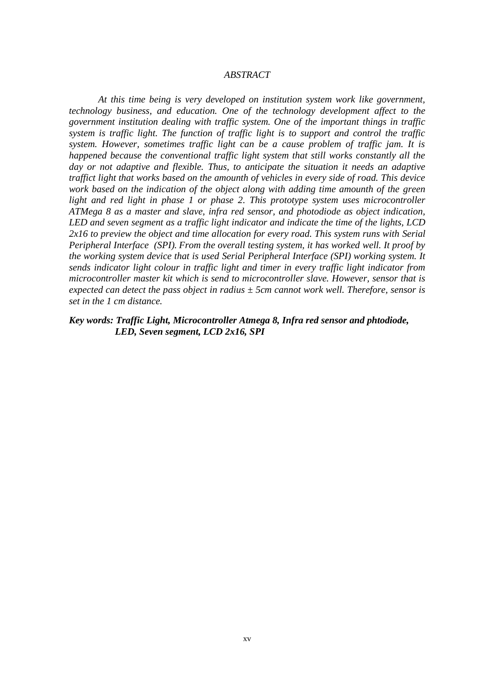## *ABSTRACT*

*At this time being is very developed on institution system work like government, technology business, and education. One of the technology development affect to the government institution dealing with traffic system. One of the important things in traffic system is traffic light. The function of traffic light is to support and control the traffic system. However, sometimes traffic light can be a cause problem of traffic jam. It is happened because the conventional traffic light system that still works constantly all the day or not adaptive and flexible. Thus, to anticipate the situation it needs an adaptive traffict light that works based on the amounth of vehicles in every side of road. This device work based on the indication of the object along with adding time amounth of the green light and red light in phase 1 or phase 2. This prototype system uses microcontroller ATMega 8 as a master and slave, infra red sensor, and photodiode as object indication, LED and seven segment as a traffic light indicator and indicate the time of the lights, LCD 2x16 to preview the object and time allocation for every road. This system runs with Serial Peripheral Interface (SPI). From the overall testing system, it has worked well. It proof by the working system device that is used Serial Peripheral Interface (SPI) working system. It sends indicator light colour in traffic light and timer in every traffic light indicator from microcontroller master kit which is send to microcontroller slave. However, sensor that is expected can detect the pass object in radius ± 5cm cannot work well. Therefore, sensor is set in the 1 cm distance.*

*Key words: Traffic Light, Microcontroller Atmega 8, Infra red sensor and phtodiode, LED, Seven segment, LCD 2x16, SPI*